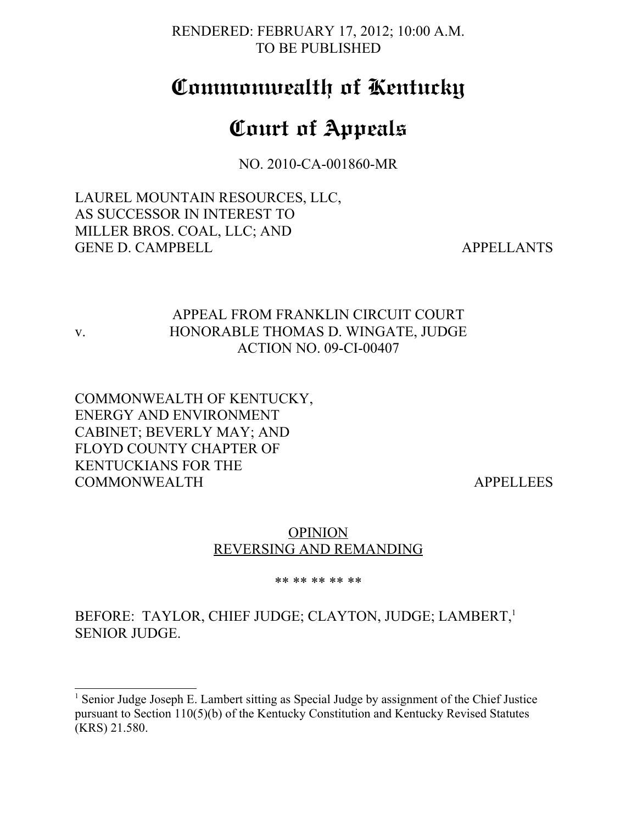RENDERED: FEBRUARY 17, 2012; 10:00 A.M. TO BE PUBLISHED

## **Commonwealth of Kentucky**

# **Court of Appeals**

NO. 2010-CA-001860-MR

LAUREL MOUNTAIN RESOURCES, LLC, AS SUCCESSOR IN INTEREST TO MILLER BROS. COAL, LLC; AND GENE D. CAMPBELL AND APPELLANTS

## APPEAL FROM FRANKLIN CIRCUIT COURT v. HONORABLE THOMAS D. WINGATE, JUDGE ACTION NO. 09-CI-00407

COMMONWEALTH OF KENTUCKY, ENERGY AND ENVIRONMENT CABINET; BEVERLY MAY; AND FLOYD COUNTY CHAPTER OF KENTUCKIANS FOR THE COMMONWEALTH APPELLEES

## **OPINION** REVERSING AND REMANDING

#### \*\* \*\* \*\* \*\* \*\*

## BEFORE: TAYLOR, CHIEF JUDGE; CLAYTON, JUDGE; LAMBERT,<sup>[1](#page-0-0)</sup> SENIOR JUDGE.

<span id="page-0-0"></span><sup>&</sup>lt;sup>1</sup> Senior Judge Joseph E. Lambert sitting as Special Judge by assignment of the Chief Justice pursuant to Section 110(5)(b) of the Kentucky Constitution and Kentucky Revised Statutes (KRS) 21.580.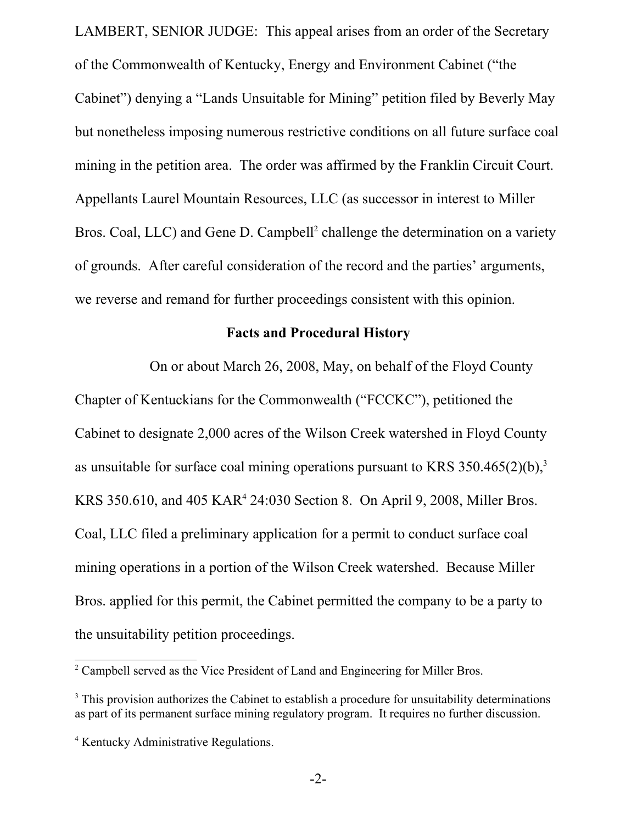LAMBERT, SENIOR JUDGE: This appeal arises from an order of the Secretary of the Commonwealth of Kentucky, Energy and Environment Cabinet ("the Cabinet") denying a "Lands Unsuitable for Mining" petition filed by Beverly May but nonetheless imposing numerous restrictive conditions on all future surface coal mining in the petition area. The order was affirmed by the Franklin Circuit Court. Appellants Laurel Mountain Resources, LLC (as successor in interest to Miller Bros. Coal, LLC) and Gene D. Campbell<sup>[2](#page-1-0)</sup> challenge the determination on a variety of grounds. After careful consideration of the record and the parties' arguments, we reverse and remand for further proceedings consistent with this opinion.

#### **Facts and Procedural History**

On or about March 26, 2008, May, on behalf of the Floyd County Chapter of Kentuckians for the Commonwealth ("FCCKC"), petitioned the Cabinet to designate 2,000 acres of the Wilson Creek watershed in Floyd County as unsuitable for surface coal mining operations pursuant to KRS  $350.465(2)(b)$  $350.465(2)(b)$ ,<sup>3</sup> KRS 350.610, and 405 KAR [4](#page-1-2) 24:030 Section 8. On April 9, 2008, Miller Bros. Coal, LLC filed a preliminary application for a permit to conduct surface coal mining operations in a portion of the Wilson Creek watershed. Because Miller Bros. applied for this permit, the Cabinet permitted the company to be a party to the unsuitability petition proceedings.

<span id="page-1-0"></span><sup>&</sup>lt;sup>2</sup> Campbell served as the Vice President of Land and Engineering for Miller Bros.

<span id="page-1-1"></span><sup>&</sup>lt;sup>3</sup> This provision authorizes the Cabinet to establish a procedure for unsuitability determinations as part of its permanent surface mining regulatory program. It requires no further discussion.

<span id="page-1-2"></span><sup>4</sup> Kentucky Administrative Regulations.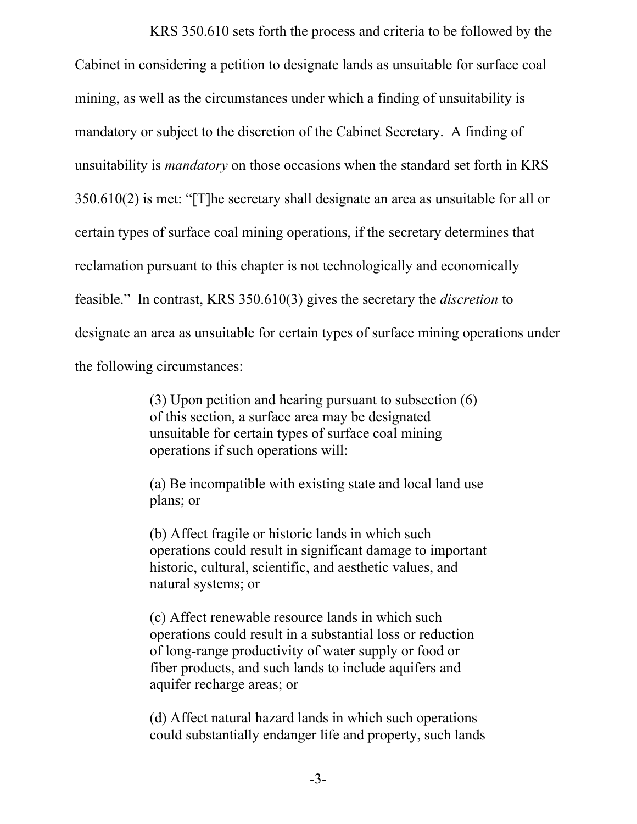KRS 350.610 sets forth the process and criteria to be followed by the Cabinet in considering a petition to designate lands as unsuitable for surface coal mining, as well as the circumstances under which a finding of unsuitability is mandatory or subject to the discretion of the Cabinet Secretary. A finding of unsuitability is *mandatory* on those occasions when the standard set forth in KRS 350.610(2) is met: "[T]he secretary shall designate an area as unsuitable for all or certain types of surface coal mining operations, if the secretary determines that reclamation pursuant to this chapter is not technologically and economically feasible." In contrast, KRS 350.610(3) gives the secretary the *discretion* to designate an area as unsuitable for certain types of surface mining operations under the following circumstances:

> (3) Upon petition and hearing pursuant to subsection (6) of this section, a surface area may be designated unsuitable for certain types of surface coal mining operations if such operations will:

(a) Be incompatible with existing state and local land use plans; or

(b) Affect fragile or historic lands in which such operations could result in significant damage to important historic, cultural, scientific, and aesthetic values, and natural systems; or

(c) Affect renewable resource lands in which such operations could result in a substantial loss or reduction of long-range productivity of water supply or food or fiber products, and such lands to include aquifers and aquifer recharge areas; or

(d) Affect natural hazard lands in which such operations could substantially endanger life and property, such lands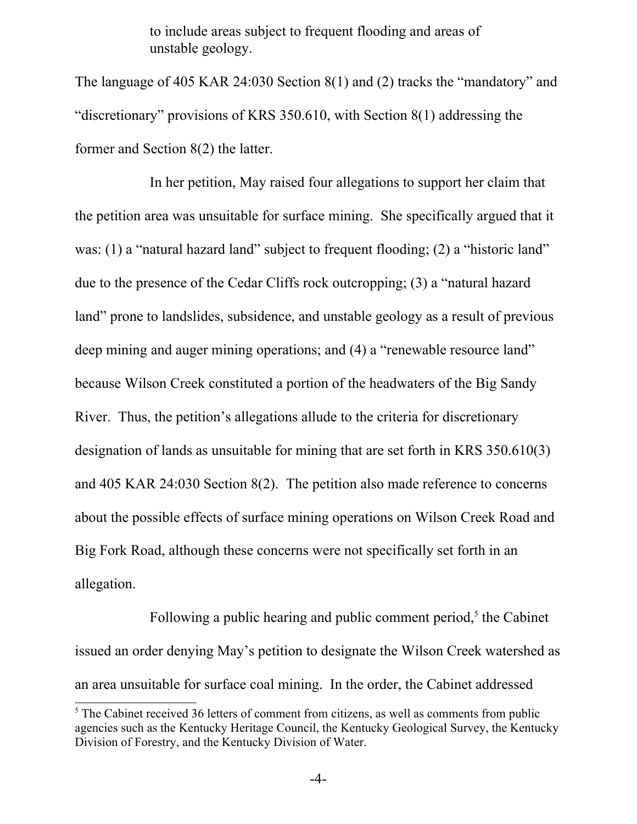to include areas subject to frequent flooding and areas of unstable geology.

The language of 405 KAR 24:030 Section 8(1) and (2) tracks the "mandatory" and "discretionary" provisions of KRS 350.610, with Section 8(1) addressing the former and Section 8(2) the latter.

In her petition, May raised four allegations to support her claim that the petition area was unsuitable for surface mining. She specifically argued that it was: (1) a "natural hazard land" subject to frequent flooding; (2) a "historic land" due to the presence of the Cedar Cliffs rock outcropping; (3) a "natural hazard land" prone to landslides, subsidence, and unstable geology as a result of previous deep mining and auger mining operations; and (4) a "renewable resource land" because Wilson Creek constituted a portion of the headwaters of the Big Sandy River. Thus, the petition's allegations allude to the criteria for discretionary designation of lands as unsuitable for mining that are set forth in KRS 350.610(3) and 405 KAR 24:030 Section 8(2). The petition also made reference to concerns about the possible effects of surface mining operations on Wilson Creek Road and Big Fork Road, although these concerns were not specifically set forth in an allegation.

Following a public hearing and public comment period, $5$  the Cabinet issued an order denying May's petition to designate the Wilson Creek watershed as an area unsuitable for surface coal mining. In the order, the Cabinet addressed

<span id="page-3-0"></span><sup>&</sup>lt;sup>5</sup> The Cabinet received 36 letters of comment from citizens, as well as comments from public agencies such as the Kentucky Heritage Council, the Kentucky Geological Survey, the Kentucky Division of Forestry, and the Kentucky Division of Water.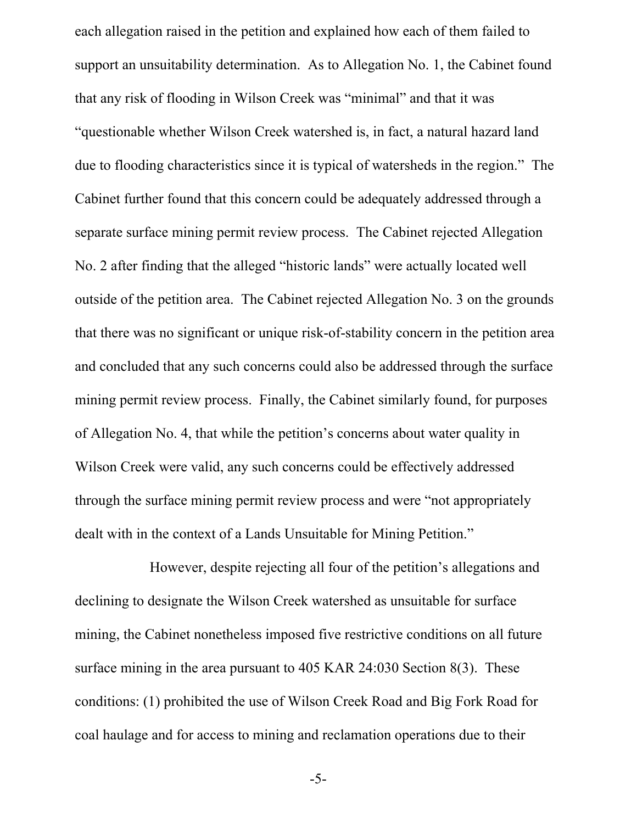each allegation raised in the petition and explained how each of them failed to support an unsuitability determination. As to Allegation No. 1, the Cabinet found that any risk of flooding in Wilson Creek was "minimal" and that it was "questionable whether Wilson Creek watershed is, in fact, a natural hazard land due to flooding characteristics since it is typical of watersheds in the region." The Cabinet further found that this concern could be adequately addressed through a separate surface mining permit review process. The Cabinet rejected Allegation No. 2 after finding that the alleged "historic lands" were actually located well outside of the petition area. The Cabinet rejected Allegation No. 3 on the grounds that there was no significant or unique risk-of-stability concern in the petition area and concluded that any such concerns could also be addressed through the surface mining permit review process. Finally, the Cabinet similarly found, for purposes of Allegation No. 4, that while the petition's concerns about water quality in Wilson Creek were valid, any such concerns could be effectively addressed through the surface mining permit review process and were "not appropriately dealt with in the context of a Lands Unsuitable for Mining Petition."

However, despite rejecting all four of the petition's allegations and declining to designate the Wilson Creek watershed as unsuitable for surface mining, the Cabinet nonetheless imposed five restrictive conditions on all future surface mining in the area pursuant to 405 KAR 24:030 Section 8(3). These conditions: (1) prohibited the use of Wilson Creek Road and Big Fork Road for coal haulage and for access to mining and reclamation operations due to their

-5-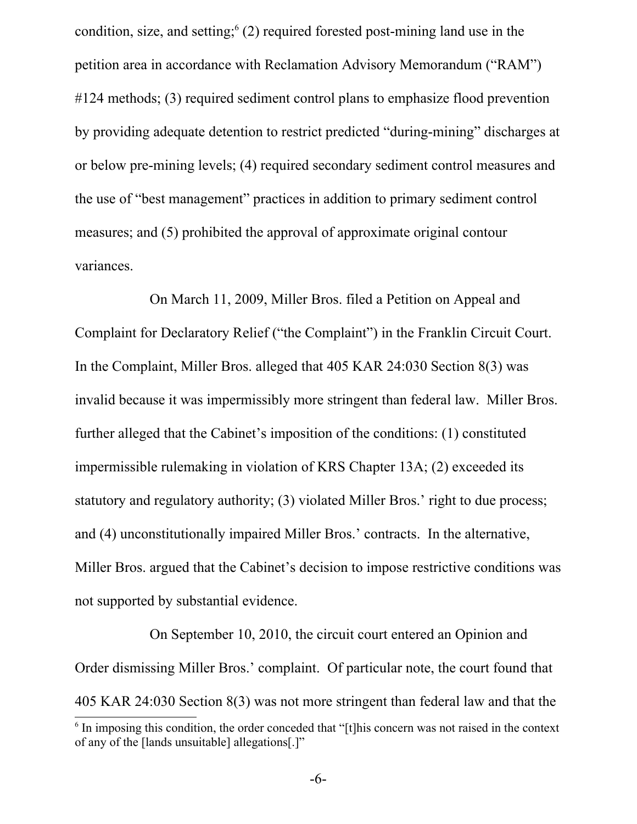condition, size, and setting;  $(2)$  required forested post-mining land use in the petition area in accordance with Reclamation Advisory Memorandum ("RAM") #124 methods; (3) required sediment control plans to emphasize flood prevention by providing adequate detention to restrict predicted "during-mining" discharges at or below pre-mining levels; (4) required secondary sediment control measures and the use of "best management" practices in addition to primary sediment control measures; and (5) prohibited the approval of approximate original contour variances.

On March 11, 2009, Miller Bros. filed a Petition on Appeal and Complaint for Declaratory Relief ("the Complaint") in the Franklin Circuit Court. In the Complaint, Miller Bros. alleged that 405 KAR 24:030 Section 8(3) was invalid because it was impermissibly more stringent than federal law. Miller Bros. further alleged that the Cabinet's imposition of the conditions: (1) constituted impermissible rulemaking in violation of KRS Chapter 13A; (2) exceeded its statutory and regulatory authority; (3) violated Miller Bros.' right to due process; and (4) unconstitutionally impaired Miller Bros.' contracts. In the alternative, Miller Bros. argued that the Cabinet's decision to impose restrictive conditions was not supported by substantial evidence.

On September 10, 2010, the circuit court entered an Opinion and Order dismissing Miller Bros.' complaint. Of particular note, the court found that 405 KAR 24:030 Section 8(3) was not more stringent than federal law and that the

<span id="page-5-0"></span><sup>&</sup>lt;sup>6</sup> In imposing this condition, the order conceded that "[t]his concern was not raised in the context of any of the [lands unsuitable] allegations[.]"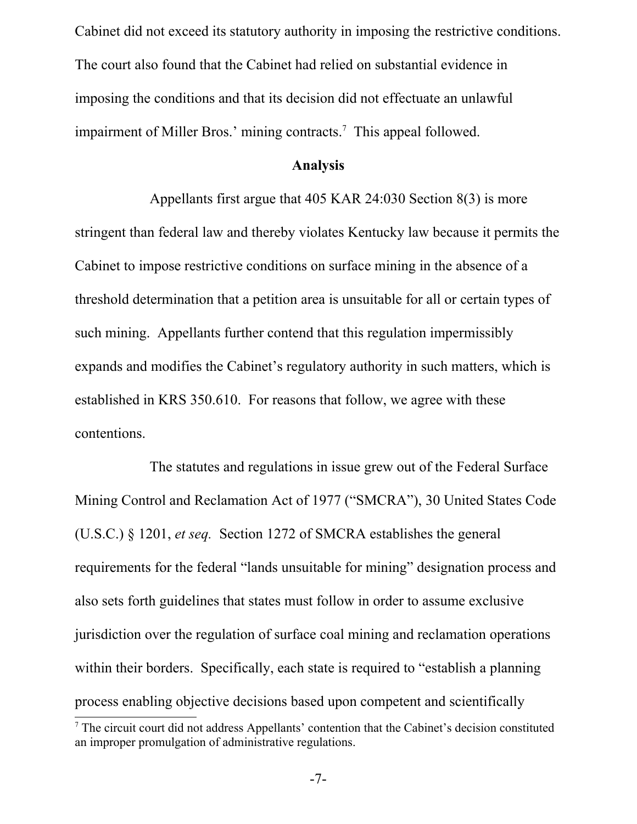Cabinet did not exceed its statutory authority in imposing the restrictive conditions. The court also found that the Cabinet had relied on substantial evidence in imposing the conditions and that its decision did not effectuate an unlawful impairment of Miller Bros.' mining contracts.<sup>[7](#page-6-0)</sup> This appeal followed.

#### **Analysis**

Appellants first argue that 405 KAR 24:030 Section 8(3) is more stringent than federal law and thereby violates Kentucky law because it permits the Cabinet to impose restrictive conditions on surface mining in the absence of a threshold determination that a petition area is unsuitable for all or certain types of such mining. Appellants further contend that this regulation impermissibly expands and modifies the Cabinet's regulatory authority in such matters, which is established in KRS 350.610. For reasons that follow, we agree with these contentions.

The statutes and regulations in issue grew out of the Federal Surface Mining Control and Reclamation Act of 1977 ("SMCRA"), 30 United States Code (U.S.C.) § 1201, *et seq.* Section 1272 of SMCRA establishes the general requirements for the federal "lands unsuitable for mining" designation process and also sets forth guidelines that states must follow in order to assume exclusive jurisdiction over the regulation of surface coal mining and reclamation operations within their borders. Specifically, each state is required to "establish a planning" process enabling objective decisions based upon competent and scientifically

<span id="page-6-0"></span><sup>&</sup>lt;sup>7</sup> The circuit court did not address Appellants' contention that the Cabinet's decision constituted an improper promulgation of administrative regulations.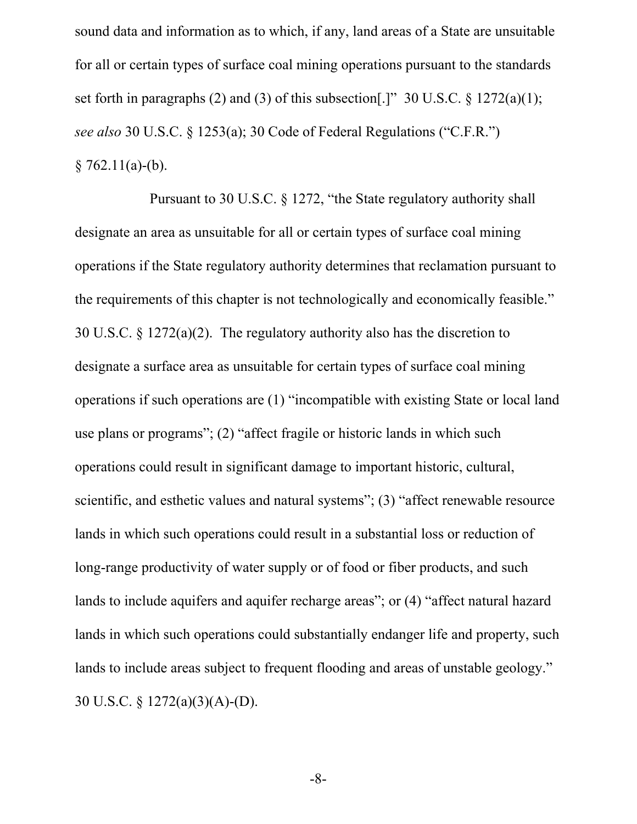sound data and information as to which, if any, land areas of a State are unsuitable for all or certain types of surface coal mining operations pursuant to the standards set forth in paragraphs (2) and (3) of this subsection. [1] 30 U.S.C.  $\frac{1272(a)(1)}{1}$ ; *see also* 30 U.S.C. § 1253(a); 30 Code of Federal Regulations ("C.F.R.")  $§ 762.11(a)-(b).$ 

Pursuant to 30 U.S.C. § 1272, "the State regulatory authority shall designate an area as unsuitable for all or certain types of surface coal mining operations if the State regulatory authority determines that reclamation pursuant to the requirements of this chapter is not technologically and economically feasible." 30 U.S.C. § 1272(a)(2). The regulatory authority also has the discretion to designate a surface area as unsuitable for certain types of surface coal mining operations if such operations are (1) "incompatible with existing State or local land use plans or programs"; (2) "affect fragile or historic lands in which such operations could result in significant damage to important historic, cultural, scientific, and esthetic values and natural systems"; (3) "affect renewable resource lands in which such operations could result in a substantial loss or reduction of long-range productivity of water supply or of food or fiber products, and such lands to include aquifers and aquifer recharge areas"; or (4) "affect natural hazard lands in which such operations could substantially endanger life and property, such lands to include areas subject to frequent flooding and areas of unstable geology." 30 U.S.C. § 1272(a)(3)(A)-(D).

-8-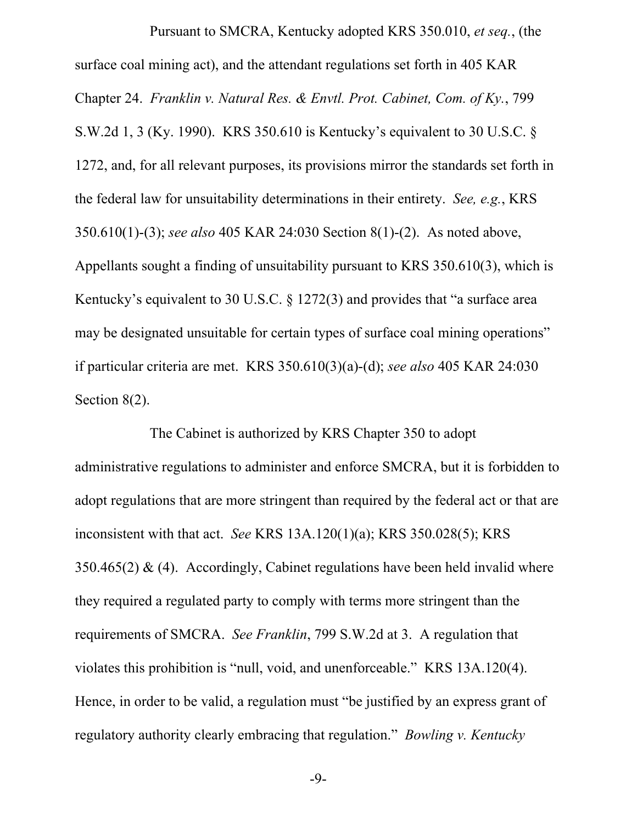Pursuant to SMCRA, Kentucky adopted KRS 350.010, *et seq.*, (the surface coal mining act), and the attendant regulations set forth in 405 KAR Chapter 24. *Franklin v. Natural Res. & Envtl. Prot. Cabinet, Com. of Ky.*, 799 S.W.2d 1, 3 (Ky. 1990). KRS 350.610 is Kentucky's equivalent to 30 U.S.C. § 1272, and, for all relevant purposes, its provisions mirror the standards set forth in the federal law for unsuitability determinations in their entirety. *See, e.g.*, KRS 350.610(1)-(3); *see also* 405 KAR 24:030 Section 8(1)-(2). As noted above, Appellants sought a finding of unsuitability pursuant to KRS 350.610(3), which is Kentucky's equivalent to 30 U.S.C. § 1272(3) and provides that "a surface area may be designated unsuitable for certain types of surface coal mining operations" if particular criteria are met. KRS 350.610(3)(a)-(d); *see also* 405 KAR 24:030 Section 8(2).

The Cabinet is authorized by KRS Chapter 350 to adopt administrative regulations to administer and enforce SMCRA, but it is forbidden to adopt regulations that are more stringent than required by the federal act or that are inconsistent with that act. *See* KRS 13A.120(1)(a); KRS 350.028(5); KRS 350.465(2) & (4). Accordingly, Cabinet regulations have been held invalid where they required a regulated party to comply with terms more stringent than the requirements of SMCRA. *See Franklin*, 799 S.W.2d at 3. A regulation that violates this prohibition is "null, void, and unenforceable." KRS 13A.120(4). Hence, in order to be valid, a regulation must "be justified by an express grant of regulatory authority clearly embracing that regulation." *Bowling v. Kentucky*

-9-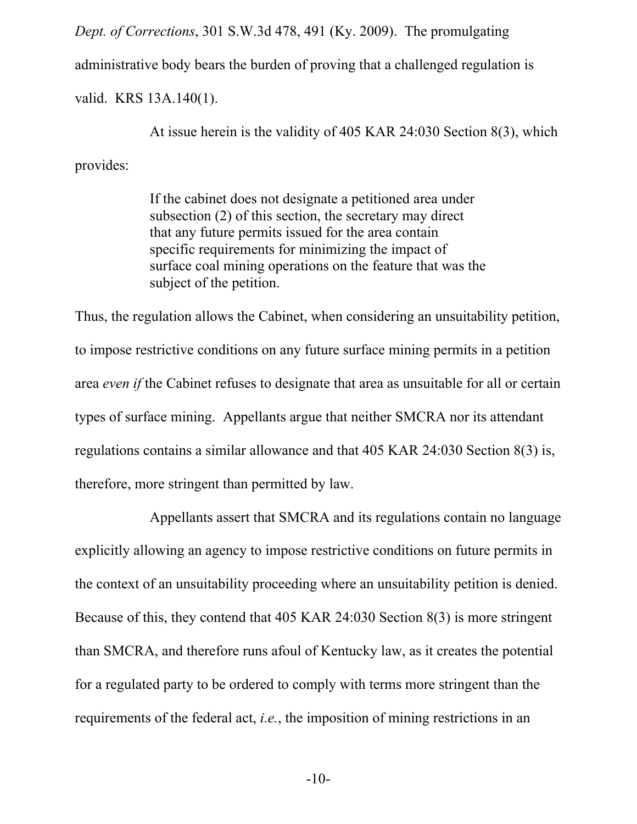*Dept. of Corrections*, 301 S.W.3d 478, 491 (Ky. 2009). The promulgating administrative body bears the burden of proving that a challenged regulation is valid. KRS 13A.140(1).

At issue herein is the validity of 405 KAR 24:030 Section 8(3), which provides:

> If the cabinet does not designate a petitioned area under subsection (2) of this section, the secretary may direct that any future permits issued for the area contain specific requirements for minimizing the impact of surface coal mining operations on the feature that was the subject of the petition.

Thus, the regulation allows the Cabinet, when considering an unsuitability petition, to impose restrictive conditions on any future surface mining permits in a petition area *even if* the Cabinet refuses to designate that area as unsuitable for all or certain types of surface mining. Appellants argue that neither SMCRA nor its attendant regulations contains a similar allowance and that 405 KAR 24:030 Section 8(3) is, therefore, more stringent than permitted by law.

Appellants assert that SMCRA and its regulations contain no language explicitly allowing an agency to impose restrictive conditions on future permits in the context of an unsuitability proceeding where an unsuitability petition is denied. Because of this, they contend that 405 KAR 24:030 Section 8(3) is more stringent than SMCRA, and therefore runs afoul of Kentucky law, as it creates the potential for a regulated party to be ordered to comply with terms more stringent than the requirements of the federal act, *i.e.*, the imposition of mining restrictions in an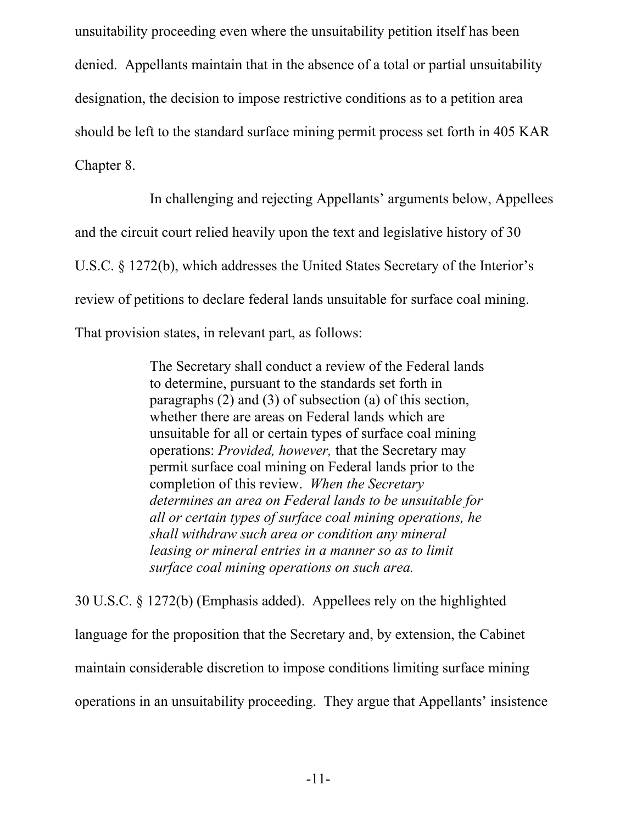unsuitability proceeding even where the unsuitability petition itself has been denied. Appellants maintain that in the absence of a total or partial unsuitability designation, the decision to impose restrictive conditions as to a petition area should be left to the standard surface mining permit process set forth in 405 KAR Chapter 8.

In challenging and rejecting Appellants' arguments below, Appellees and the circuit court relied heavily upon the text and legislative history of 30 U.S.C. § 1272(b), which addresses the United States Secretary of the Interior's review of petitions to declare federal lands unsuitable for surface coal mining. That provision states, in relevant part, as follows:

> The Secretary shall conduct a review of the Federal lands to determine, pursuant to the standards set forth in paragraphs (2) and (3) of subsection (a) of this section, whether there are areas on Federal lands which are unsuitable for all or certain types of surface coal mining operations: *Provided, however,* that the Secretary may permit surface coal mining on Federal lands prior to the completion of this review. *When the Secretary determines an area on Federal lands to be unsuitable for all or certain types of surface coal mining operations, he shall withdraw such area or condition any mineral leasing or mineral entries in a manner so as to limit surface coal mining operations on such area.*

30 U.S.C. § 1272(b) (Emphasis added). Appellees rely on the highlighted language for the proposition that the Secretary and, by extension, the Cabinet maintain considerable discretion to impose conditions limiting surface mining operations in an unsuitability proceeding. They argue that Appellants' insistence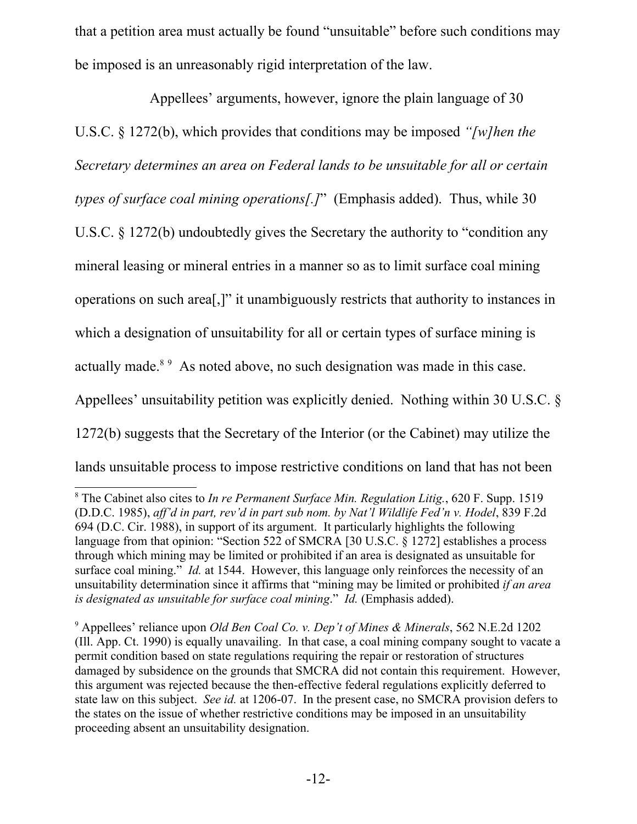that a petition area must actually be found "unsuitable" before such conditions may be imposed is an unreasonably rigid interpretation of the law.

Appellees' arguments, however, ignore the plain language of 30 U.S.C. § 1272(b), which provides that conditions may be imposed *"[w]hen the Secretary determines an area on Federal lands to be unsuitable for all or certain types of surface coal mining operations[.]*" (Emphasis added). Thus, while 30 U.S.C. § 1272(b) undoubtedly gives the Secretary the authority to "condition any mineral leasing or mineral entries in a manner so as to limit surface coal mining operations on such area[,]" it unambiguously restricts that authority to instances in which a designation of unsuitability for all or certain types of surface mining is actually made.<sup>[8](#page-11-0)[9](#page-11-1)</sup> As noted above, no such designation was made in this case. Appellees' unsuitability petition was explicitly denied. Nothing within 30 U.S.C. § 1272(b) suggests that the Secretary of the Interior (or the Cabinet) may utilize the lands unsuitable process to impose restrictive conditions on land that has not been

<span id="page-11-0"></span><sup>8</sup> The Cabinet also cites to *In re Permanent Surface Min. Regulation Litig.*, 620 F. Supp. 1519 (D.D.C. 1985), *aff'd in part, rev'd in part sub nom. by Nat'l Wildlife Fed'n v. Hodel*, 839 F.2d 694 (D.C. Cir. 1988), in support of its argument. It particularly highlights the following language from that opinion: "Section 522 of SMCRA [30 U.S.C. § 1272] establishes a process through which mining may be limited or prohibited if an area is designated as unsuitable for surface coal mining." *Id.* at 1544. However, this language only reinforces the necessity of an unsuitability determination since it affirms that "mining may be limited or prohibited *if an area is designated as unsuitable for surface coal mining*." *Id.* (Emphasis added).

<span id="page-11-1"></span><sup>9</sup> Appellees' reliance upon *Old Ben Coal Co. v. Dep't of Mines & Minerals*, 562 N.E.2d 1202 (Ill. App. Ct. 1990) is equally unavailing. In that case, a coal mining company sought to vacate a permit condition based on state regulations requiring the repair or restoration of structures damaged by subsidence on the grounds that SMCRA did not contain this requirement. However, this argument was rejected because the then-effective federal regulations explicitly deferred to state law on this subject. *See id.* at 1206-07. In the present case, no SMCRA provision defers to the states on the issue of whether restrictive conditions may be imposed in an unsuitability proceeding absent an unsuitability designation.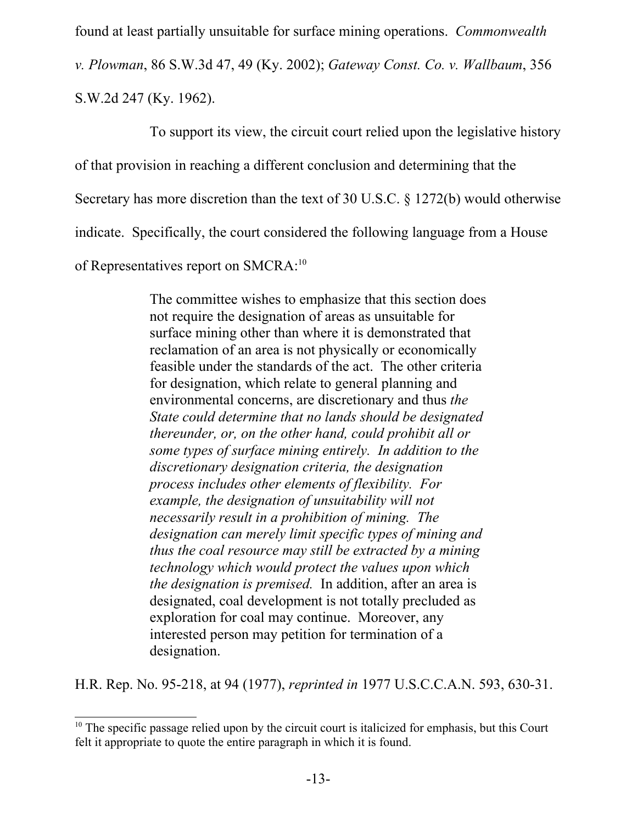found at least partially unsuitable for surface mining operations. *Commonwealth*

*v. Plowman*, 86 S.W.3d 47, 49 (Ky. 2002); *Gateway Const. Co. v. Wallbaum*, 356

S.W.2d 247 (Ky. 1962).

To support its view, the circuit court relied upon the legislative history

of that provision in reaching a different conclusion and determining that the

Secretary has more discretion than the text of 30 U.S.C. § 1272(b) would otherwise

indicate. Specifically, the court considered the following language from a House

of Representatives report on SMCRA:<sup>[10](#page-12-0)</sup>

The committee wishes to emphasize that this section does not require the designation of areas as unsuitable for surface mining other than where it is demonstrated that reclamation of an area is not physically or economically feasible under the standards of the act. The other criteria for designation, which relate to general planning and environmental concerns, are discretionary and thus *the State could determine that no lands should be designated thereunder, or, on the other hand, could prohibit all or some types of surface mining entirely. In addition to the discretionary designation criteria, the designation process includes other elements of flexibility. For example, the designation of unsuitability will not necessarily result in a prohibition of mining. The designation can merely limit specific types of mining and thus the coal resource may still be extracted by a mining technology which would protect the values upon which the designation is premised.* In addition, after an area is designated, coal development is not totally precluded as exploration for coal may continue. Moreover, any interested person may petition for termination of a designation.

H.R. Rep. No. 95-218, at 94 (1977), *reprinted in* 1977 U.S.C.C.A.N. 593, 630-31.

<span id="page-12-0"></span><sup>&</sup>lt;sup>10</sup> The specific passage relied upon by the circuit court is italicized for emphasis, but this Court felt it appropriate to quote the entire paragraph in which it is found.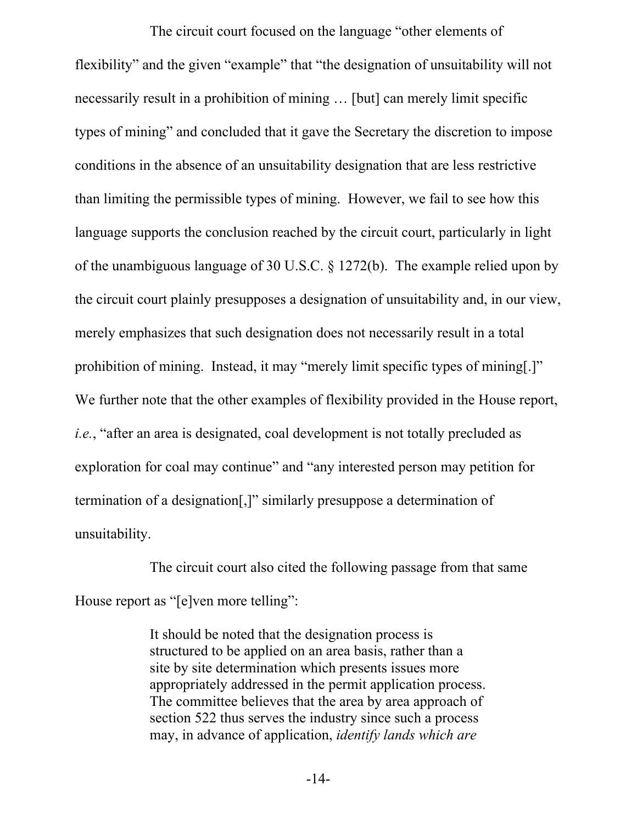The circuit court focused on the language "other elements of flexibility" and the given "example" that "the designation of unsuitability will not necessarily result in a prohibition of mining … [but] can merely limit specific types of mining" and concluded that it gave the Secretary the discretion to impose conditions in the absence of an unsuitability designation that are less restrictive than limiting the permissible types of mining. However, we fail to see how this language supports the conclusion reached by the circuit court, particularly in light of the unambiguous language of 30 U.S.C. § 1272(b). The example relied upon by the circuit court plainly presupposes a designation of unsuitability and, in our view, merely emphasizes that such designation does not necessarily result in a total prohibition of mining. Instead, it may "merely limit specific types of mining[.]" We further note that the other examples of flexibility provided in the House report, *i.e.*, "after an area is designated, coal development is not totally precluded as exploration for coal may continue" and "any interested person may petition for termination of a designation[,]" similarly presuppose a determination of unsuitability.

The circuit court also cited the following passage from that same House report as "[e]ven more telling":

> It should be noted that the designation process is structured to be applied on an area basis, rather than a site by site determination which presents issues more appropriately addressed in the permit application process. The committee believes that the area by area approach of section 522 thus serves the industry since such a process may, in advance of application, *identify lands which are*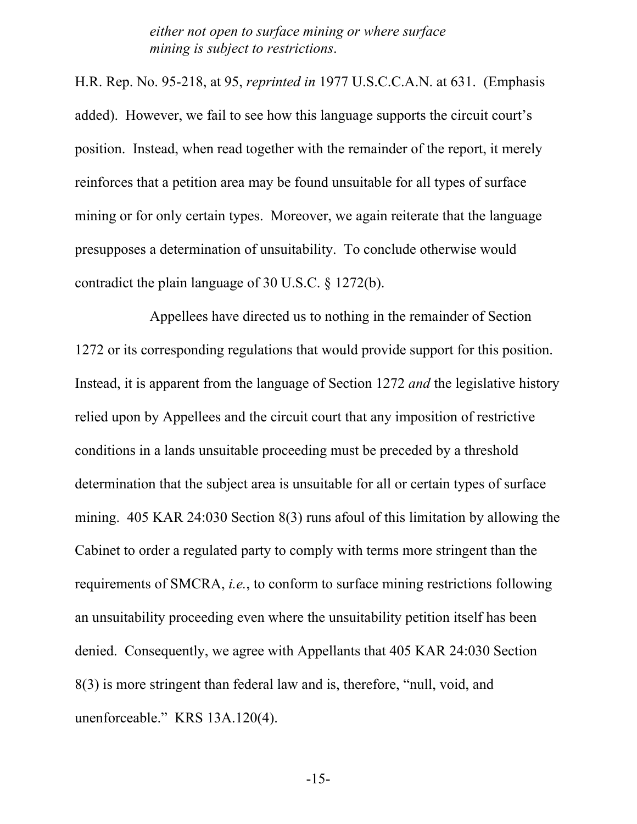*either not open to surface mining or where surface mining is subject to restrictions*.

H.R. Rep. No. 95-218, at 95, *reprinted in* 1977 U.S.C.C.A.N. at 631. (Emphasis added). However, we fail to see how this language supports the circuit court's position. Instead, when read together with the remainder of the report, it merely reinforces that a petition area may be found unsuitable for all types of surface mining or for only certain types. Moreover, we again reiterate that the language presupposes a determination of unsuitability. To conclude otherwise would contradict the plain language of 30 U.S.C. § 1272(b).

Appellees have directed us to nothing in the remainder of Section 1272 or its corresponding regulations that would provide support for this position. Instead, it is apparent from the language of Section 1272 *and* the legislative history relied upon by Appellees and the circuit court that any imposition of restrictive conditions in a lands unsuitable proceeding must be preceded by a threshold determination that the subject area is unsuitable for all or certain types of surface mining. 405 KAR 24:030 Section 8(3) runs afoul of this limitation by allowing the Cabinet to order a regulated party to comply with terms more stringent than the requirements of SMCRA, *i.e.*, to conform to surface mining restrictions following an unsuitability proceeding even where the unsuitability petition itself has been denied. Consequently, we agree with Appellants that 405 KAR 24:030 Section 8(3) is more stringent than federal law and is, therefore, "null, void, and unenforceable." KRS 13A.120(4).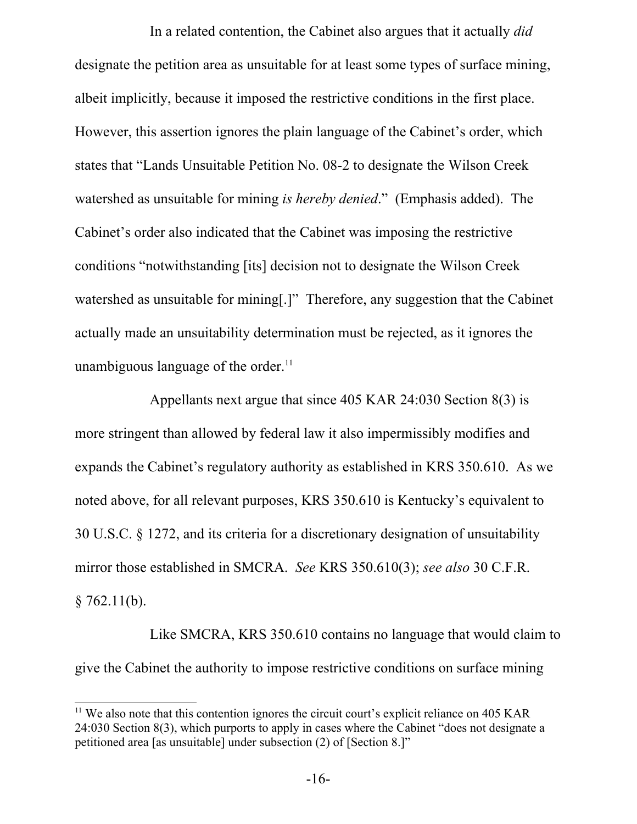In a related contention, the Cabinet also argues that it actually *did* designate the petition area as unsuitable for at least some types of surface mining, albeit implicitly, because it imposed the restrictive conditions in the first place. However, this assertion ignores the plain language of the Cabinet's order, which states that "Lands Unsuitable Petition No. 08-2 to designate the Wilson Creek watershed as unsuitable for mining *is hereby denied*." (Emphasis added). The Cabinet's order also indicated that the Cabinet was imposing the restrictive conditions "notwithstanding [its] decision not to designate the Wilson Creek watershed as unsuitable for mining[.]" Therefore, any suggestion that the Cabinet actually made an unsuitability determination must be rejected, as it ignores the unambiguous language of the order.<sup>[11](#page-15-0)</sup>

Appellants next argue that since 405 KAR 24:030 Section 8(3) is more stringent than allowed by federal law it also impermissibly modifies and expands the Cabinet's regulatory authority as established in KRS 350.610. As we noted above, for all relevant purposes, KRS 350.610 is Kentucky's equivalent to 30 U.S.C. § 1272, and its criteria for a discretionary designation of unsuitability mirror those established in SMCRA. *See* KRS 350.610(3); *see also* 30 C.F.R.  $$762.11(b).$ 

Like SMCRA, KRS 350.610 contains no language that would claim to give the Cabinet the authority to impose restrictive conditions on surface mining

<span id="page-15-0"></span><sup>&</sup>lt;sup>11</sup> We also note that this contention ignores the circuit court's explicit reliance on 405 KAR 24:030 Section 8(3), which purports to apply in cases where the Cabinet "does not designate a petitioned area [as unsuitable] under subsection (2) of [Section 8.]"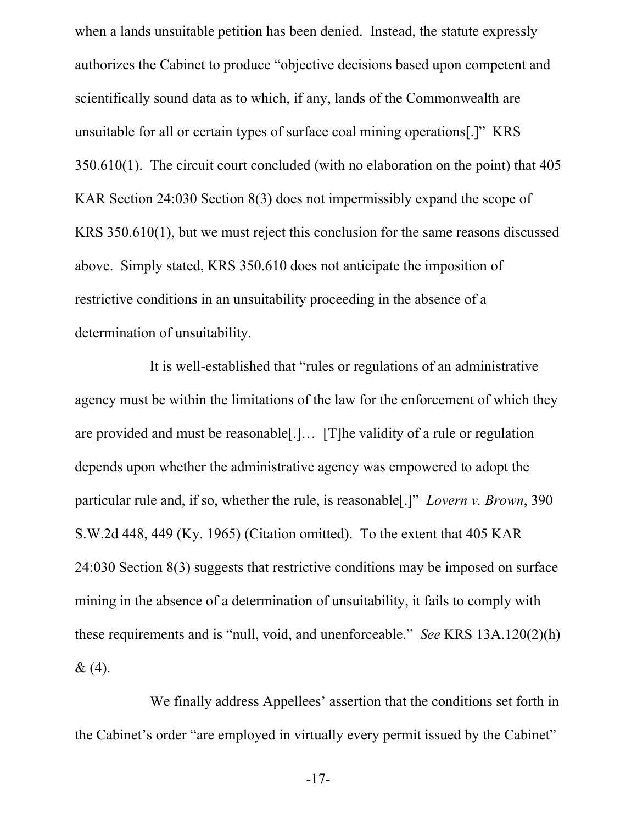when a lands unsuitable petition has been denied. Instead, the statute expressly authorizes the Cabinet to produce "objective decisions based upon competent and scientifically sound data as to which, if any, lands of the Commonwealth are unsuitable for all or certain types of surface coal mining operations[.]" KRS 350.610(1). The circuit court concluded (with no elaboration on the point) that 405 KAR Section 24:030 Section 8(3) does not impermissibly expand the scope of KRS 350.610(1), but we must reject this conclusion for the same reasons discussed above. Simply stated, KRS 350.610 does not anticipate the imposition of restrictive conditions in an unsuitability proceeding in the absence of a determination of unsuitability.

It is well-established that "rules or regulations of an administrative agency must be within the limitations of the law for the enforcement of which they are provided and must be reasonable[.]… [T]he validity of a rule or regulation depends upon whether the administrative agency was empowered to adopt the particular rule and, if so, whether the rule, is reasonable[.]" *Lovern v. Brown*, 390 S.W.2d 448, 449 (Ky. 1965) (Citation omitted). To the extent that 405 KAR 24:030 Section 8(3) suggests that restrictive conditions may be imposed on surface mining in the absence of a determination of unsuitability, it fails to comply with these requirements and is "null, void, and unenforceable." *See* KRS 13A.120(2)(h)  $& (4).$ 

We finally address Appellees' assertion that the conditions set forth in the Cabinet's order "are employed in virtually every permit issued by the Cabinet"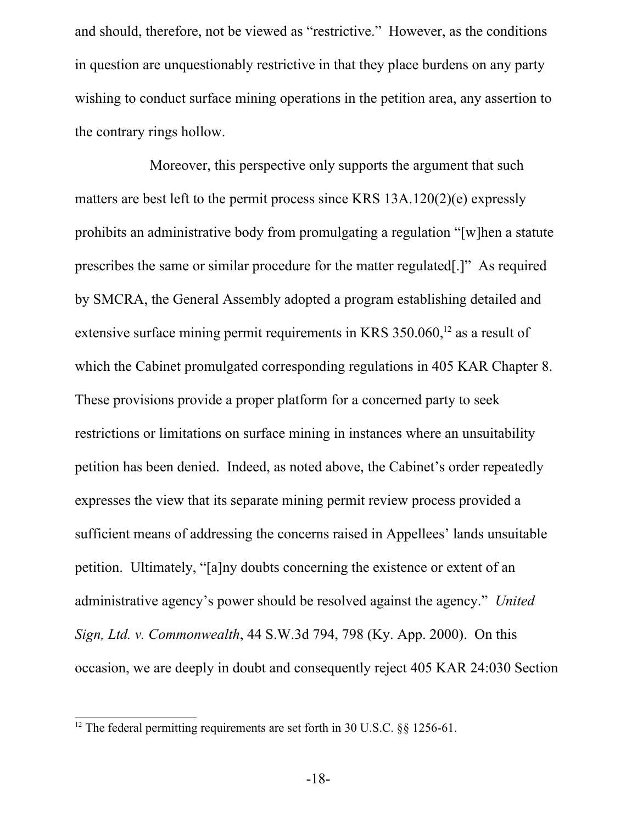and should, therefore, not be viewed as "restrictive." However, as the conditions in question are unquestionably restrictive in that they place burdens on any party wishing to conduct surface mining operations in the petition area, any assertion to the contrary rings hollow.

Moreover, this perspective only supports the argument that such matters are best left to the permit process since KRS 13A.120(2)(e) expressly prohibits an administrative body from promulgating a regulation "[w]hen a statute prescribes the same or similar procedure for the matter regulated[.]" As required by SMCRA, the General Assembly adopted a program establishing detailed and extensive surface mining permit requirements in KRS  $350.060$ ,<sup>[12](#page-17-0)</sup> as a result of which the Cabinet promulgated corresponding regulations in 405 KAR Chapter 8. These provisions provide a proper platform for a concerned party to seek restrictions or limitations on surface mining in instances where an unsuitability petition has been denied. Indeed, as noted above, the Cabinet's order repeatedly expresses the view that its separate mining permit review process provided a sufficient means of addressing the concerns raised in Appellees' lands unsuitable petition. Ultimately, "[a]ny doubts concerning the existence or extent of an administrative agency's power should be resolved against the agency." *United Sign, Ltd. v. Commonwealth*, 44 S.W.3d 794, 798 (Ky. App. 2000). On this occasion, we are deeply in doubt and consequently reject 405 KAR 24:030 Section

<span id="page-17-0"></span><sup>&</sup>lt;sup>12</sup> The federal permitting requirements are set forth in 30 U.S.C.  $\S$ § 1256-61.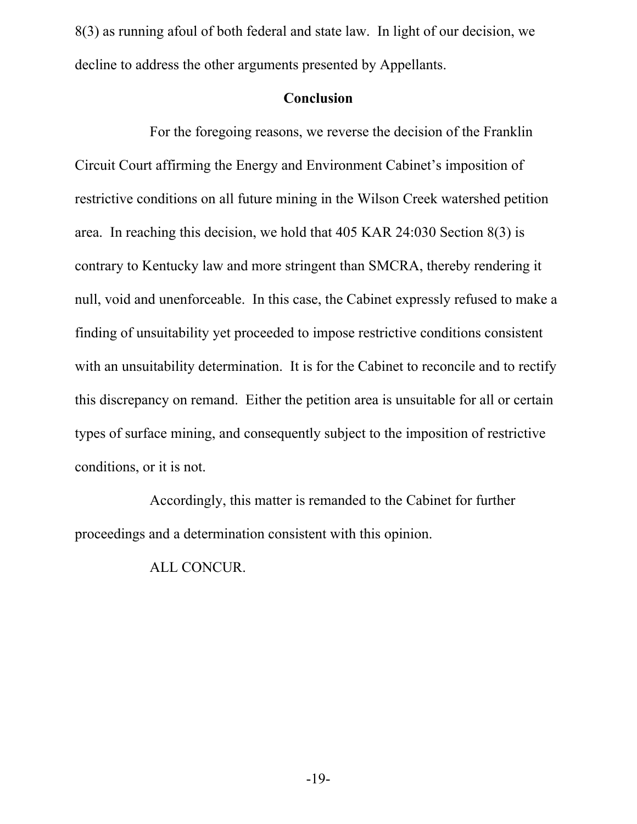8(3) as running afoul of both federal and state law. In light of our decision, we decline to address the other arguments presented by Appellants.

### **Conclusion**

For the foregoing reasons, we reverse the decision of the Franklin Circuit Court affirming the Energy and Environment Cabinet's imposition of restrictive conditions on all future mining in the Wilson Creek watershed petition area. In reaching this decision, we hold that 405 KAR 24:030 Section 8(3) is contrary to Kentucky law and more stringent than SMCRA, thereby rendering it null, void and unenforceable. In this case, the Cabinet expressly refused to make a finding of unsuitability yet proceeded to impose restrictive conditions consistent with an unsuitability determination. It is for the Cabinet to reconcile and to rectify this discrepancy on remand. Either the petition area is unsuitable for all or certain types of surface mining, and consequently subject to the imposition of restrictive conditions, or it is not.

Accordingly, this matter is remanded to the Cabinet for further proceedings and a determination consistent with this opinion.

ALL CONCUR.